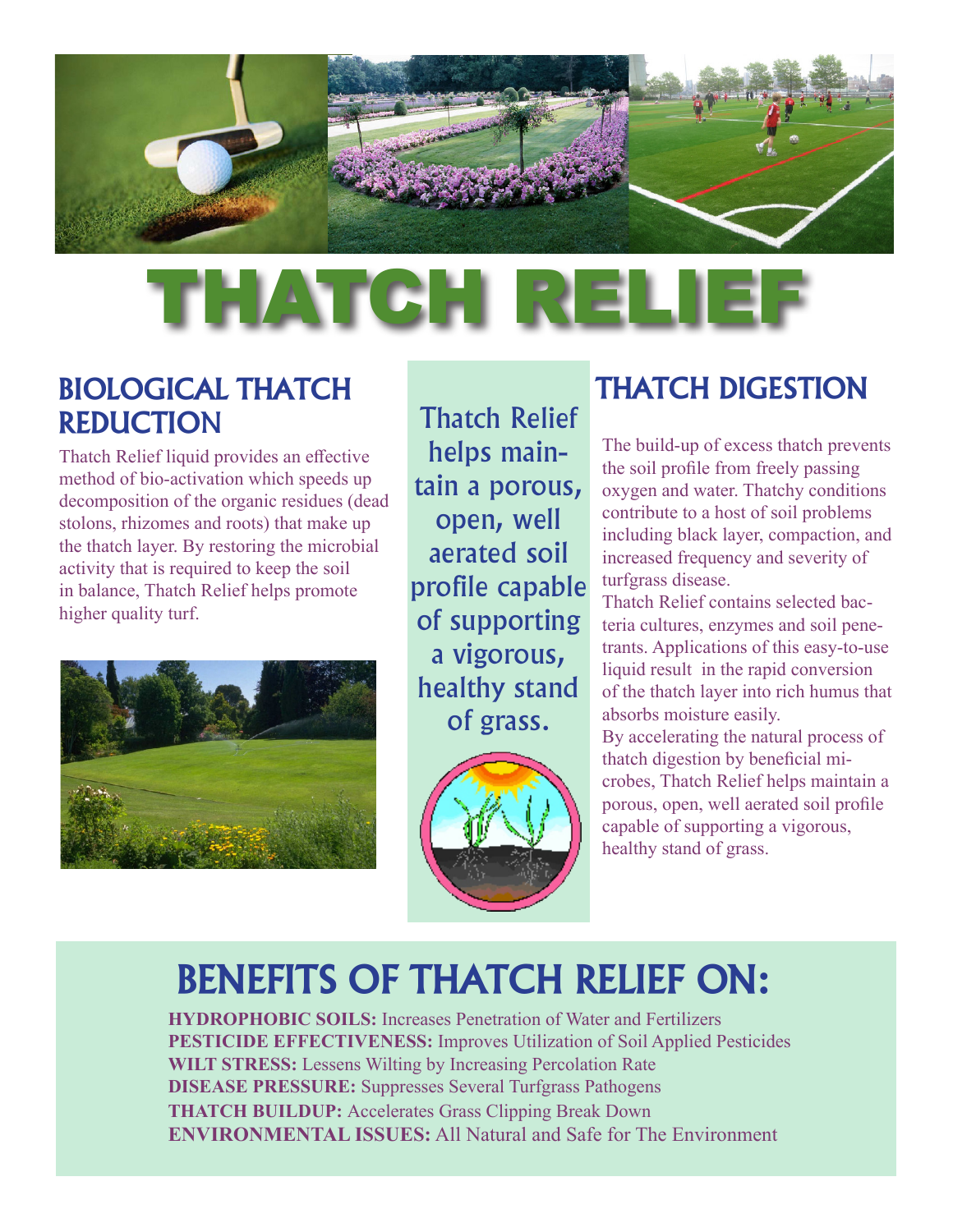

# THATCH RELI

### **BIOLOGICAL THATCH REDUCTIO**N

Thatch Relief liquid provides an effective method of bio-activation which speeds up decomposition of the organic residues (dead stolons, rhizomes and roots) that make up the thatch layer. By restoring the microbial activity that is required to keep the soil in balance, Thatch Relief helps promote higher quality turf.



Thatch Relief helps maintain a porous, open, well aerated soil profile capable of supporting a vigorous, healthy stand of grass.



### **THATCH DIGESTION**

The build-up of excess thatch prevents the soil profile from freely passing oxygen and water. Thatchy conditions contribute to a host of soil problems including black layer, compaction, and increased frequency and severity of turfgrass disease.

Thatch Relief contains selected bacteria cultures, enzymes and soil penetrants. Applications of this easy-to-use liquid result in the rapid conversion of the thatch layer into rich humus that absorbs moisture easily. By accelerating the natural process of thatch digestion by beneficial microbes, Thatch Relief helps maintain a porous, open, well aerated soil profile capable of supporting a vigorous, healthy stand of grass.

## **BENEFITS OF THATCH RELIEF ON:**

**HYDROPHOBIC SOILS:** Increases Penetration of Water and Fertilizers **PESTICIDE EFFECTIVENESS:** Improves Utilization of Soil Applied Pesticides **WILT STRESS:** Lessens Wilting by Increasing Percolation Rate **DISEASE PRESSURE:** Suppresses Several Turfgrass Pathogens **THATCH BUILDUP:** Accelerates Grass Clipping Break Down **ENVIRONMENTAL ISSUES:** All Natural and Safe for The Environment